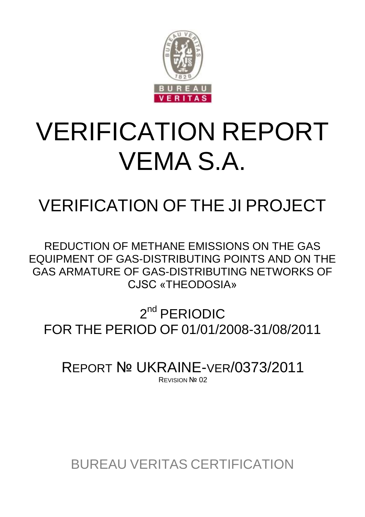

# VERIFICATION REPORT VEMA S.A.

# VERIFICATION OF THE JI PROJECT

REDUCTION OF METHANE EMISSIONS ON THE GAS EQUIPMENT OF GAS-DISTRIBUTING POINTS AND ON THE GAS ARMATURE OF GAS-DISTRIBUTING NETWORKS OF СJSC «THEODOSIA»

2<sup>nd</sup> PERIODIC FOR THE PERIOD OF 01/01/2008-31/08/2011

REPORT № UKRAINE-VER/0373/2011 **REVISION Nº 02** 

BUREAU VERITAS CERTIFICATION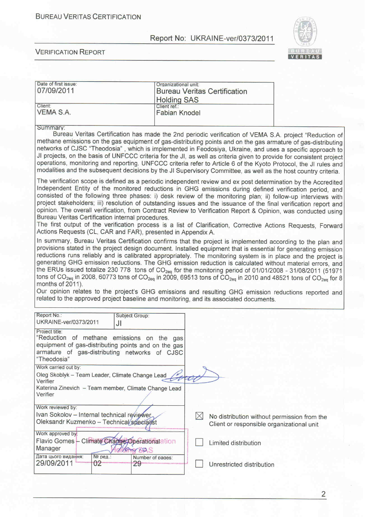

#### **VERIFICATION REPORT**

| Date of first issue:                                         | Organizational unit:                                                                                                                                          |
|--------------------------------------------------------------|---------------------------------------------------------------------------------------------------------------------------------------------------------------|
| 07/09/2011                                                   | <b>Bureau Veritas Certification</b>                                                                                                                           |
|                                                              |                                                                                                                                                               |
| Client:                                                      | <b>Holding SAS</b><br>Client ref.:                                                                                                                            |
| VEMA S.A.                                                    |                                                                                                                                                               |
|                                                              | <b>Fabian Knodel</b>                                                                                                                                          |
|                                                              |                                                                                                                                                               |
| Summary:                                                     |                                                                                                                                                               |
|                                                              | Bureau Veritas Certification has made the 2nd periodic verification of VEMA S.A. project "Reduction of                                                        |
|                                                              | methane emissions on the gas equipment of gas-distributing points and on the gas armature of gas-distributing                                                 |
|                                                              | networks of CJSC "Theodosia", which is implemented in Feodosiya, Ukraine, and uses a specific approach to                                                     |
|                                                              | JI projects, on the basis of UNFCCC criteria for the JI, as well as criteria given to provide for consistent project                                          |
|                                                              | operations, monitoring and reporting. UNFCCC criteria refer to Article 6 of the Kyoto Protocol, the JI rules and                                              |
|                                                              | modalities and the subsequent decisions by the JI Supervisory Committee, as well as the host country criteria.                                                |
|                                                              |                                                                                                                                                               |
|                                                              | The verification scope is defined as a periodic independent review and ex post determination by the Accredited                                                |
|                                                              | Independent Entity of the monitored reductions in GHG emissions during defined verification period, and                                                       |
|                                                              |                                                                                                                                                               |
|                                                              | consisted of the following three phases: i) desk review of the monitoring plan; ii) follow-up interviews with                                                 |
|                                                              | project stakeholders; iii) resolution of outstanding issues and the issuance of the final verification report and                                             |
|                                                              | opinion. The overall verification, from Contract Review to Verification Report & Opinion, was conducted using                                                 |
| Bureau Veritas Certification internal procedures.            |                                                                                                                                                               |
|                                                              | The first output of the verification process is a list of Clarification, Corrective Actions Requests, Forward                                                 |
| Actions Requests (CL, CAR and FAR), presented in Appendix A. |                                                                                                                                                               |
|                                                              | In summary, Bureau Veritas Certification confirms that the project is implemented according to the plan and                                                   |
|                                                              | provisions stated in the project design document. Installed equipment that is essential for generating emission                                               |
|                                                              |                                                                                                                                                               |
|                                                              | reductions runs reliably and is calibrated appropriately. The monitoring system is in place and the project is                                                |
|                                                              | generating GHG emission reductions. The GHG emission reduction is calculated without material errors, and                                                     |
|                                                              | the ERUs issued totalize 230 778 tons of CO <sub>2eq</sub> for the monitoring period of 01/01/2008 - 31/08/2011 (51971                                        |
|                                                              | tons of CO <sub>2eq</sub> in 2008, 60773 tons of CO <sub>2eq</sub> in 2009, 69513 tons of CO <sub>2eq</sub> in 2010 and 48521 tons of CO <sub>2eq</sub> for 8 |
|                                                              |                                                                                                                                                               |
| months of 2011).                                             |                                                                                                                                                               |
|                                                              |                                                                                                                                                               |
|                                                              | Our opinion relates to the project's GHG emissions and resulting GHG emission reductions reported and                                                         |
|                                                              | related to the approved project baseline and monitoring, and its associated documents.                                                                        |
|                                                              |                                                                                                                                                               |
| Report No.:<br>Subject Group:                                |                                                                                                                                                               |
| UKRAINE-ver/0373/2011<br>JI                                  |                                                                                                                                                               |
| Project title:                                               |                                                                                                                                                               |
| "Reduction of methane emissions on the gas                   |                                                                                                                                                               |
| equipment of gas-distributing points and on the gas          |                                                                                                                                                               |
|                                                              |                                                                                                                                                               |
| armature of gas-distributing networks of CJSC                |                                                                                                                                                               |
| "Theodosia"                                                  |                                                                                                                                                               |
| Work carried out by:                                         |                                                                                                                                                               |
| Oleg Skoblyk - Team Leader, Climate Change Lead              |                                                                                                                                                               |
| Verifier                                                     |                                                                                                                                                               |
| Katerina Zinevich - Team member, Climate Change Lead         |                                                                                                                                                               |
| Verifier                                                     |                                                                                                                                                               |
|                                                              |                                                                                                                                                               |
| Work reviewed by:                                            |                                                                                                                                                               |
| Ivan Sokolov - Internal technical reviewer                   | $\boxtimes$<br>No distribution without permission from the                                                                                                    |
| Oleksandr Kuzmenko - Technical specialist                    |                                                                                                                                                               |
|                                                              | Client or responsible organizational unit                                                                                                                     |
| Work approved by:                                            |                                                                                                                                                               |
| Flavio Gomes - Climate Change, Operationalation              | Limited distribution                                                                                                                                          |
| Manager<br><b>MATTER BOLS</b>                                |                                                                                                                                                               |
| Дата цього видання:<br>№ ред.:<br>Number of pages:           |                                                                                                                                                               |
| 29/09/2011<br>02<br>29                                       | Unrestricted distribution                                                                                                                                     |

 $\overline{2}$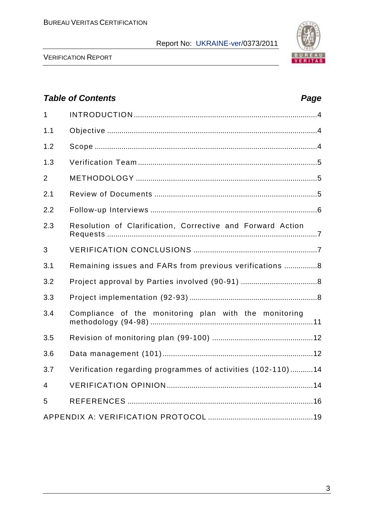

VERIFICATION REPORT

# *Table of Contents Page* 1 INTRODUCTION .........................................................................................4 1.1 Objective ......................................................................................................4 1.2 Scope ............................................................................................................4 1.3 Verification Team .......................................................................................5 2 METHODOLOGY ........................................................................................5 2.1 Review of Documents ...............................................................................5 2.2 Follow-up Interviews .................................................................................6 2.3 Resolution of Clarification, Corrective and Forward Action Requests ......................................................................................................7 3 VERIFICATION CONCLUSIONS ............................................................7 3.1 Remaining issues and FARs from previous verifications ................8 3.2 Project approval by Parties involved (90-91) .....................................8 3.3 Project implementation (92-93) ..............................................................8 3.4 Compliance of the monitoring plan with the monitoring methodology (94-98) ...............................................................................11 3.5 Revision of monitoring plan (99-100) .................................................12 3.6 Data management (101).........................................................................12 3.7 Verification regarding programmes of activities (102-110) ...........14 4 VERIFICATION OPINION .......................................................................14 5 REFERENCES ..........................................................................................16 APPENDIX A: VERIFICATION PROTOCOL ...................................................19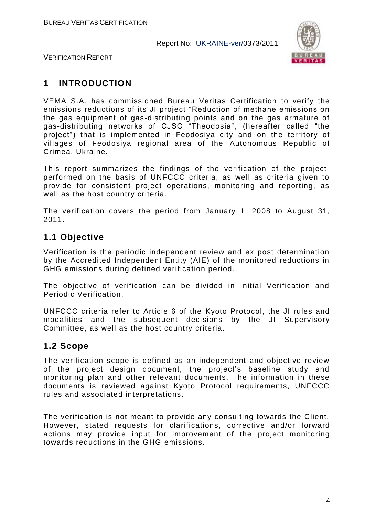

VERIFICATION REPORT

# **1 INTRODUCTION**

VEMA S.A. has commissioned Bureau Veritas Certification to verify the emissions reductions of its JI project "Reduction of methane emissions on the gas equipment of gas-distributing points and on the gas armature of gas-distributing networks of CJSC "Theodosia", (hereafter called "the project") that is implemented in Feodosiya city and on the territory of villages of Feodosiya regional area of the Autonomous Republic of Crimea, Ukraine.

This report summarizes the findings of the verification of the project, performed on the basis of UNFCCC criteria, as well as criteria given to provide for consistent project operations, monitoring and reporting, as well as the host country criteria.

The verification covers the period from January 1, 2008 to August 31, 2011.

# **1.1 Objective**

Verification is the periodic independent review and ex post determination by the Accredited Independent Entity (AIE) of the monitored reductions in GHG emissions during defined verification period.

The objective of verification can be divided in Initial Verification and Periodic Verification.

UNFCCC criteria refer to Article 6 of the Kyoto Protocol, the JI rules and modalities and the subsequent decisions by the JI Supervisory Committee, as well as the host country criteria.

#### **1.2 Scope**

The verification scope is defined as an independent and objective review of the project design document, the project's baseline study and monitoring plan and other relevant documents. The information in these documents is reviewed against Kyoto Protocol requirements, UNFCCC rules and associated interpretations.

The verification is not meant to provide any consulting towards the Client. However, stated requests for clarifications, corrective and/or forward actions may provide input for improvement of the project monitoring towards reductions in the GHG emissions.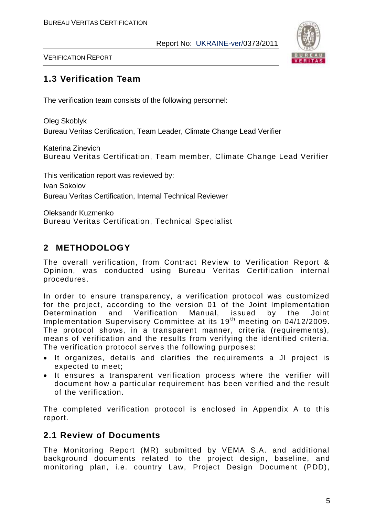

VERIFICATION REPORT

# **1.3 Verification Team**

The verification team consists of the following personnel:

Oleg Skoblyk Bureau Veritas Certification, Team Leader, Climate Change Lead Verifier

Katerina Zinevich Bureau Veritas Certification, Team member, Climate Change Lead Verifier

This verification report was reviewed by: Ivan Sokolov Bureau Veritas Certification, Internal Technical Reviewer

Oleksandr Kuzmenko Bureau Veritas Certification, Technical Specialist

# **2 METHODOLOGY**

The overall verification, from Contract Review to Verification Report & Opinion, was conducted using Bureau Veritas Certification internal procedures.

In order to ensure transparency, a verification protocol was customized for the project, according to the version 01 of the Joint Implementation Determination and Verification Manual, issued by the Joint Implementation Supervisory Committee at its 19<sup>th</sup> meeting on 04/12/2009. The protocol shows, in a transparent manner, criteria (requirements), means of verification and the results from verifying the identified criteria. The verification protocol serves the following purposes:

- It organizes, details and clarifies the requirements a JI project is expected to meet;
- It ensures a transparent verification process where the verifier will document how a particular requirement has been verified and the result of the verification.

The completed verification protocol is enclosed in Appendix A to this report.

#### **2.1 Review of Documents**

The Monitoring Report (MR) submitted by VEMA S.A. and additional background documents related to the project design, baseline, and monitoring plan, i.e. country Law, Project Design Document (PDD),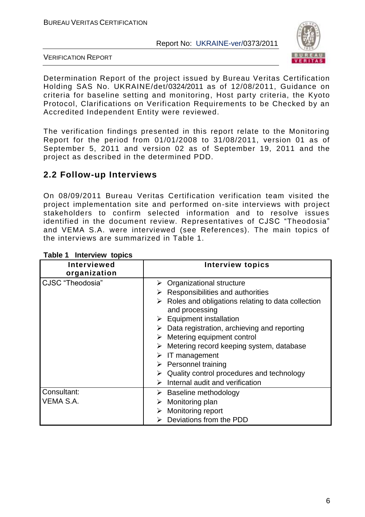

VERIFICATION REPORT

Determination Report of the project issued by Bureau Veritas Certification Holding SAS No. UKRAINE/det/0324/2011 as of 12/08/2011, Guidance on criteria for baseline setting and monitoring, Host party criteria, the Kyoto Protocol, Clarifications on Verification Requirements to be Checked by an Accredited Independent Entity were reviewed.

The verification findings presented in this report relate to the Monitoring Report for the period from 01/01/2008 to 31/08/2011, version 01 as of September 5, 2011 and version 02 as of September 19, 2011 and the project as described in the determined PDD.

# **2.2 Follow-up Interviews**

On 08/09/2011 Bureau Veritas Certification verification team visited the project implementation site and performed on-site interviews with project stakeholders to confirm selected information and to resolve issues identified in the document review. Representatives of CJSC "Theodosia" and VEMA S.A. were interviewed (see References). The main topics of the interviews are summarized in Table 1.

| <b>Interviewed</b><br>organization | <b>Interview topics</b>                                                                                                                                                                                                                                                                                                                                                                                                                                                                                                  |
|------------------------------------|--------------------------------------------------------------------------------------------------------------------------------------------------------------------------------------------------------------------------------------------------------------------------------------------------------------------------------------------------------------------------------------------------------------------------------------------------------------------------------------------------------------------------|
| CJSC "Theodosia"                   | $\triangleright$ Organizational structure<br>$\triangleright$ Responsibilities and authorities<br>Roles and obligations relating to data collection<br>and processing<br>$\triangleright$ Equipment installation<br>$\triangleright$ Data registration, archieving and reporting<br>Metering equipment control<br>Metering record keeping system, database<br>$\triangleright$ IT management<br>$\triangleright$ Personnel training<br>Quality control procedures and technology<br>Internal audit and verification<br>➤ |
| Consultant:<br>VEMA S.A.           | $\triangleright$ Baseline methodology<br>Monitoring plan<br>Monitoring report<br>Deviations from the PDD                                                                                                                                                                                                                                                                                                                                                                                                                 |

#### **Table 1 Interview topics**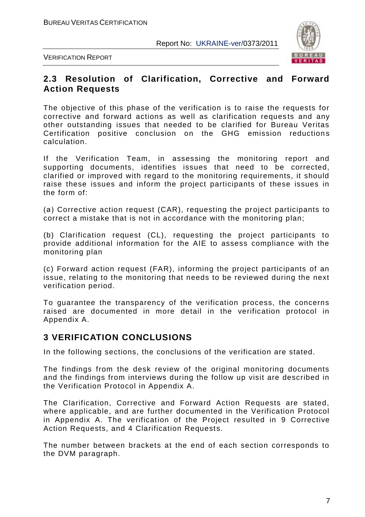

VERIFICATION REPORT

#### **2.3 Resolution of Clarification, Corrective and Forward Action Requests**

The objective of this phase of the verification is to raise the requests for corrective and forward actions as well as clarification requests and any other outstanding issues that needed to be clarified for Bureau Veritas Certification positive conclusion on the GHG emission reductions calculation.

If the Verification Team, in assessing the monitoring report and supporting documents, identifies issues that need to be corrected, clarified or improved with regard to the monitoring requirements, it should raise these issues and inform the project participants of these issues in the form of:

(а) Corrective action request (CAR), requesting the project participants to correct a mistake that is not in accordance with the monitoring plan;

(b) Clarification request (CL), requesting the project participants to provide additional information for the AIE to assess compliance with the monitoring plan

(c) Forward action request (FAR), informing the project participants of an issue, relating to the monitoring that needs to be reviewed during the next verification period.

To guarantee the transparency of the verification process, the concerns raised are documented in more detail in the verification protocol in Appendix A.

#### **3 VERIFICATION CONCLUSIONS**

In the following sections, the conclusions of the verification are stated.

The findings from the desk review of the original monitoring documents and the findings from interviews during the follow up visit are described in the Verification Protocol in Appendix A.

The Clarification, Corrective and Forward Action Requests are stated, where applicable, and are further documented in the Verification Protocol in Appendix A. The verification of the Project resulted in 9 Corrective Action Requests, and 4 Clarification Requests.

The number between brackets at the end of each section corresponds to the DVM paragraph.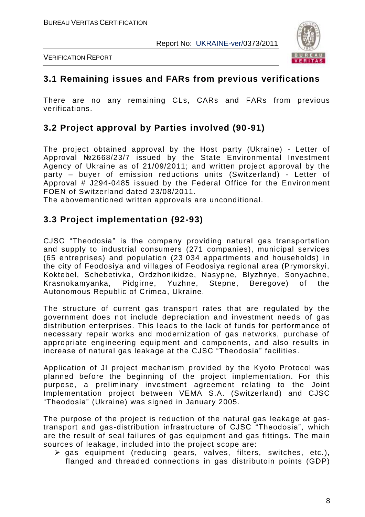



VERIFICATION REPORT

#### **3.1 Remaining issues and FARs from previous verifications**

There are no any remaining CLs, CARs and FARs from previous verifications.

# **3.2 Project approval by Parties involved (90-91)**

The project obtained approval by the Host party (Ukraine) - Letter of Approval №2668/23/7 issued by the State Environmental Investment Agency of Ukraine as of 21/09/2011; and written project approval by the party – buyer of emission reductions units (Switzerland) - Letter of Approval # J294-0485 issued by the Federal Office for the Environment FOEN of Switzerland dated 23/08/2011.

The abovementioned written approvals are unconditional.

#### **3.3 Project implementation (92-93)**

CJSC "Theodosia" is the company providing natural gas transportation and supply to industrial consumers (271 companies), municipal services (65 entreprises) and population (23 034 appartments and households) in the city of Feodosiya and villages of Feodosiya regional area (Prymorskyi, Koktebel, Schebetivka, Ordzhonikidze, Nasypne, Blyzhnye, Sonyachne, Krasnokamyanka, Pidgirne, Yuzhne, Stepne, Beregove) of the Autonomous Republic of Crimea, Ukraine.

The structure of current gas transport rates that are regulated by the government does not include depreciation and investment needs of gas distribution enterprises. This leads to the lack of funds for performance of necessary repair works and modernization of gas networks, purchase of appropriate engineering equipment and components, and also results in increase of natural gas leakage at the CJSC "Theodosia" facilities.

Application of JI project mechanism provided by the Kyoto Protocol was planned before the beginning of the project implementation. For this purpose, a preliminary investment agreement relating to the Joint Implementation project between VEMA S.A. (Switzerland) and CJSC "Theodosia" (Ukraine) was signed in January 2005.

The purpose of the project is reduction of the natural gas leakage at gastransport and gas-distribution infrastructure of CJSC "Theodosia", which are the result of seal failures of gas equipment and gas fittings. The main sources of leakage, included into the project scope are:

 $\triangleright$  gas equipment (reducing gears, valves, filters, switches, etc.), flanged and threaded connections in gas distributoin points (GDP)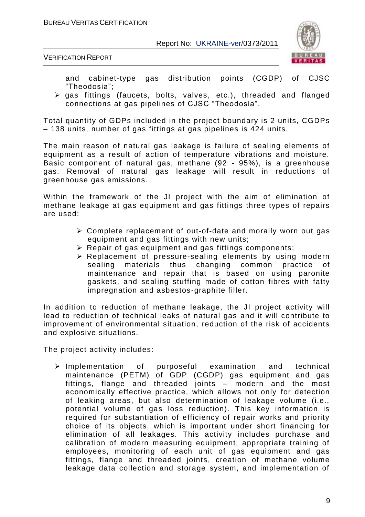

VERIFICATION REPORT

and cabinet-type gas distribution points (CGDP) of CJSC "Theodosia";

 $\triangleright$  gas fittings (faucets, bolts, valves, etc.), threaded and flanged connections at gas pipelines of CJSC "Theodosia".

Total quantity of GDPs included in the project boundary is 2 units, CGDPs – 138 units, number of gas fittings at gas pipelines is 424 units.

The main reason of natural gas leakage is failure of sealing elements of equipment as a result of action of temperature vibrations and moisture. Basic component of natural gas, methane (92 - 95%), is a greenhouse gas. Removal of natural gas leakage will result in reductions of greenhouse gas emissions.

Within the framework of the JI project with the aim of elimination of methane leakage at gas equipment and gas fittings three types of repairs are used:

- Complete replacement of out-of-date and morally worn out gas equipment and gas fittings with new units;
- $\triangleright$  Repair of gas equipment and gas fittings components;
- Replacement of pressure-sealing elements by using modern sealing materials thus changing common practice of maintenance and repair that is based on using paronite gaskets, and sealing stuffing made of cotton fibres with fatty impregnation and asbestos-graphite filler.

In addition to reduction of methane leakage, the JI project activity will lead to reduction of technical leaks of natural gas and it will contribute to improvement of environmental situation, reduction of the risk of accidents and explosive situations.

The project activity includes:

 $\triangleright$  Implementation of purposeful examination and technical maintenance (PETM) of GDP (CGDP) gas equipment and gas fittings, flange and threaded joints – modern and the most economically effective practice, which allows not only for detection of leaking areas, but also determination of leakage volume (i.e., potential volume of gas loss reduction). This key information is required for substantiation of efficiency of repair works and priority choice of its objects, which is important under short financing for elimination of all leakages. This activity includes purchase and calibration of modern measuring equipment, appropriate training of employees, monitoring of each unit of gas equipment and gas fittings, flange and threaded joints, creation of methane volume leakage data collection and storage system, and implementation of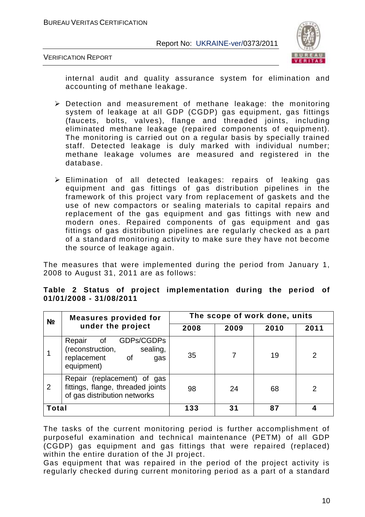

#### VERIFICATION REPORT

internal audit and quality assurance system for elimination and accounting of methane leakage.

- Detection and measurement of methane leakage: the monitoring system of leakage at all GDP (CGDP) gas equipment, gas fittings (faucets, bolts, valves), flange and threaded joints, including eliminated methane leakage (repaired components of equipment). The monitoring is carried out on a regular basis by specially trained staff. Detected leakage is duly marked with individual number; methane leakage volumes are measured and registered in the database.
- Elimination of all detected leakages: repairs of leaking gas equipment and gas fittings of gas distribution pipelines in the framework of this project vary from replacement of gaskets and the use of new compactors or sealing materials to capital repairs and replacement of the gas equipment and gas fittings with new and modern ones. Repaired components of gas equipment and gas fittings of gas distribution pipelines are regularly checked as a part of a standard monitoring activity to make sure they have not become the source of leakage again.

The measures that were implemented during the period from January 1, 2008 to August 31, 2011 are as follows:

| N <sub>2</sub>                                                                                        | <b>Measures provided for</b>                                                                      | The scope of work done, units |      |      |      |  |
|-------------------------------------------------------------------------------------------------------|---------------------------------------------------------------------------------------------------|-------------------------------|------|------|------|--|
|                                                                                                       | under the project                                                                                 | 2008                          | 2009 | 2010 | 2011 |  |
|                                                                                                       | GDPs/CGDPs<br>Repair<br>of<br>(reconstruction,<br>sealing,<br>replacement of<br>gas<br>equipment) | 35                            |      | 19   | 2    |  |
| Repair (replacement) of gas<br>fittings, flange, threaded joints<br>2<br>of gas distribution networks |                                                                                                   | 98                            | 24   | 68   | 2    |  |
| <b>Total</b>                                                                                          |                                                                                                   | 133                           | 31   | 87   |      |  |

#### **Table 2 Status of project implementation during the period of 01/01/2008 - 31/08/2011**

The tasks of the current monitoring period is further accomplishment of purposeful examination and technical maintenance (PETM) of all GDP (CGDP) gas equipment and gas fittings that were repaired (replaced) within the entire duration of the JI project.

Gas equipment that was repaired in the period of the project activity is regularly checked during current monitoring period as a part of a standard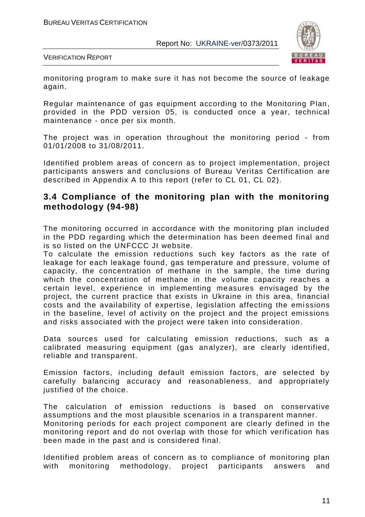

VERIFICATION REPORT

monitoring program to make sure it has not become the source of leakage again.

Regular maintenance of gas equipment according to the Monitoring Plan, provided in the PDD version 05, is conducted once a year, technical maintenance - once per six month.

The project was in operation throughout the monitoring period - from 01/01/2008 to 31/08/2011.

Identified problem areas of concern as to project implementation, project participants answers and conclusions of Bureau Veritas Certification are described in Appendix A to this report (refer to CL 01, CL 02).

#### **3.4 Compliance of the monitoring plan with the monitoring methodology (94-98)**

The monitoring occurred in accordance with the monitoring plan included in the PDD regarding which the determination has been deemed final and is so listed on the UNFCCC JI website.

To calculate the emission reductions such key factors as the rate of leakage for each leakage found, gas temperature and pressure, volume of capacity, the concentration of methane in the sample, the time during which the concentration of methane in the volume capacity reaches a certain level, experience in implementing measures envisaged by the project, the current practice that exists in Ukraine in this area, financial costs and the availability of expertise, legislation affecting the emissions in the baseline, level of activity on the project and the project emissions and risks associated with the project were taken into consideration.

Data sources used for calculating emission reductions, such as a calibrated measuring equipment (gas analyzer), are clearly identified, reliable and transparent.

Emission factors, including default emission factors, are selected by carefully balancing accuracy and reasonableness, and appropriately justified of the choice.

The calculation of emission reductions is based on conservative assumptions and the most plausible scenarios in a transparent manner. Monitoring periods for each project component are clearly defined in the monitoring report and do not overlap with those for which verification has been made in the past and is considered final.

Identified problem areas of concern as to compliance of monitoring plan with monitoring methodology, project participants answers and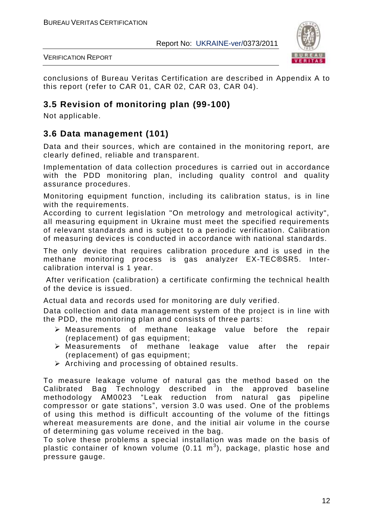

VERIFICATION REPORT

conclusions of Bureau Veritas Certification are described in Appendix A to this report (refer to CAR 01, CAR 02, CAR 03, CAR 04).

# **3.5 Revision of monitoring plan (99-100)**

Not applicable.

# **3.6 Data management (101)**

Data and their sources, which are contained in the monitoring report, are clearly defined, reliable and transparent.

Implementation of data collection procedures is carried out in accordance with the PDD monitoring plan, including quality control and quality assurance procedures.

Monitoring equipment function, including its calibration status, is in line with the requirements.

According to current legislation "On metrology and metrological activity", all measuring equipment in Ukraine must meet the specified requirements of relevant standards and is subject to a periodic verification. Calibration of measuring devices is conducted in accordance with national standards.

The only device that requires calibration procedure and is used in the methane monitoring process is gas analyzer EX-TEC®SR5. Intercalibration interval is 1 year.

After verification (calibration) a certificate confirming the technical health of the device is issued.

Actual data and records used for monitoring are duly verified.

Data collection and data management system of the project is in line with the PDD, the monitoring plan and consists of three parts:

- Measurements of methane leakage value before the repair (replacement) of gas equipment;
- Measurements of methane leakage value after the repair (replacement) of gas equipment;
- $\triangleright$  Archiving and processing of obtained results.

To measure leakage volume of natural gas the method based on the Calibrated Bag Technology described in the approved baseline methodology AM0023 "Leak reduction from natural gas pipeline compressor or gate stations", version 3.0 was used. One of the problems of using this method is difficult accounting of the volume of the fittings whereat measurements are done, and the initial air volume in the course of determining gas volume received in the bag.

To solve these problems a special installation was made on the basis of plastic container of known volume (0.11  $\text{m}^{3}$ ), package, plastic hose and pressure gauge.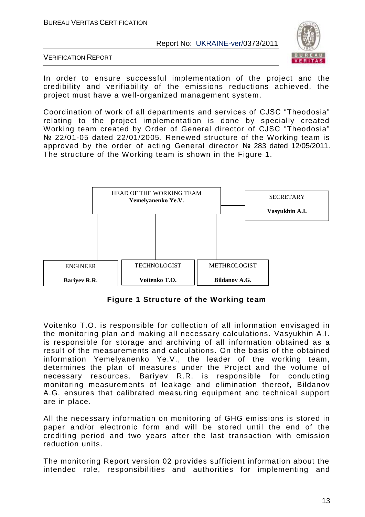

VERIFICATION REPORT

In order to ensure successful implementation of the project and the credibility and verifiability of the emissions reductions achieved, the project must have a well-organized management system.

Coordination of work of all departments and services of CJSC "Theodosia" relating to the project implementation is done by specially created Working team created by Order of General director of CJSC "Theodosia" № 22/01-05 dated 22/01/2005. Renewed structure of the Working team is approved by the order of acting General director № 283 dated 12/05/2011. The structure of the Working team is shown in the Figure 1.



**Figure 1 Structure of the Working team**

Voitenko T.O. is responsible for collection of all information envisaged in the monitoring plan and making all necessary calculations. Vasyukhin A.I. is responsible for storage and archiving of all information obtained as a result of the measurements and calculations. On the basis of the obtained information Yemelyanenko Ye.V., the leader of the working team, determines the plan of measures under the Project and the volume of necessary resources. Bariyev R.R. is responsible for conducting monitoring measurements of leakage and elimination thereof, Bildanov A.G. ensures that calibrated measuring equipment and technical support are in place.

All the necessary information on monitoring of GHG emissions is stored in paper and/or electronic form and will be stored until the end of the crediting period and two years after the last transaction with emission reduction units.

The monitoring Report version 02 provides sufficient information about the intended role, responsibilities and authorities for implementing and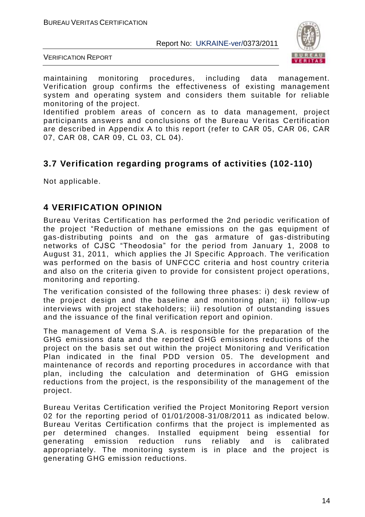

VERIFICATION REPORT

maintaining monitoring procedures, including data management. Verification group confirms the effectiveness of existing management system and operating system and considers them suitable for reliable monitoring of the project.

Identified problem areas of concern as to data management, project participants answers and conclusions of the Bureau Veritas Certification are described in Appendix A to this report (refer to CAR 05, CAR 06, CAR 07, CAR 08, CAR 09, CL 03, CL 04).

# **3.7 Verification regarding programs of activities (102-110)**

Not applicable.

#### **4 VERIFICATION OPINION**

Bureau Veritas Certification has performed the 2nd periodic verification of the project "Reduction of methane emissions on the gas equipment of gas-distributing points and on the gas armature of gas -distributing networks of CJSC "Theodosia" for the period from January 1, 2008 to August 31, 2011, which applies the JI Specific Approach. The verification was performed on the basis of UNFCCC criteria and host country criteria and also on the criteria given to provide for consistent project operations, monitoring and reporting.

The verification consisted of the following three phases: i) desk review of the project design and the baseline and monitoring plan; ii) follow -up interviews with project stakeholders; iii) resolution of outstanding issues and the issuance of the final verification report and opinion.

The management of Vema S.A. is responsible for the preparation of the GHG emissions data and the reported GHG emissions reductions of the project on the basis set out within the project Monitoring and Verification Plan indicated in the final PDD version 05. The development and maintenance of records and reporting procedures in accordance with that plan, including the calculation and determination of GHG emission reductions from the project, is the responsibility of the management of the project.

Bureau Veritas Certification verified the Project Monitoring Report version 02 for the reporting period of 01/01/2008-31/08/2011 as indicated below. Bureau Veritas Certification confirms that the project is implemented as per determined changes. Installed equipment being essential for generating emission reduction runs reliably and is calibrated appropriately. The monitoring system is in place and the project is generating GHG emission reductions.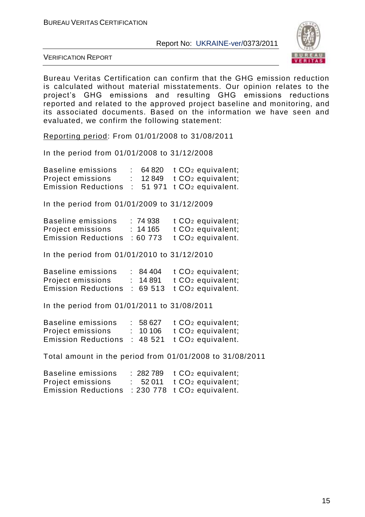

VERIFICATION REPORT

Bureau Veritas Certification can confirm that the GHG emission reduction is calculated without material misstatements. Our opinion relates to the project's GHG emissions and resulting GHG emissions reductions reported and related to the approved project baseline and monitoring, and its associated documents. Based on the information we have seen and evaluated, we confirm the following statement:

Reporting period: From 01/01/2008 to 31/08/2011

In the period from 01/01/2008 to 31/12/2008

| Baseline emissions         |  | $\therefore$ 64 820 t CO <sub>2</sub> equivalent; |
|----------------------------|--|---------------------------------------------------|
| Project emissions          |  | $: 12849$ $t CO2$ equivalent;                     |
| <b>Emission Reductions</b> |  | $\therefore$ 51 971 t CO <sub>2</sub> equivalent. |

In the period from 01/01/2009 to 31/12/2009

| Baseline emissions         | :74938  | t CO <sub>2</sub> equivalent; |
|----------------------------|---------|-------------------------------|
| Project emissions          | : 14165 | t CO <sub>2</sub> equivalent; |
| <b>Emission Reductions</b> | :60 773 | t CO <sub>2</sub> equivalent. |

In the period from 01/01/2010 to 31/12/2010

| Baseline emissions         | : 84404  | t CO <sub>2</sub> equivalent;      |
|----------------------------|----------|------------------------------------|
| Project emissions          | : 14 891 | t CO <sub>2</sub> equivalent;      |
| <b>Emission Reductions</b> |          | $: 69513 \t to \t CO2$ equivalent. |

In the period from 01/01/2011 to 31/08/2011

| Baseline emissions         | : 58627 | t CO <sub>2</sub> equivalent; |
|----------------------------|---------|-------------------------------|
| Project emissions          | : 10106 | t CO <sub>2</sub> equivalent; |
| <b>Emission Reductions</b> |         | $: 48521$ t $CO2$ equivalent. |

Total amount in the period from 01/01/2008 to 31/08/2011

| Baseline emissions         | $: 282789$ t $CO2$ equivalent; |
|----------------------------|--------------------------------|
| <b>Project emissions</b>   | $: 52011 \tCO2$ equivalent;    |
| <b>Emission Reductions</b> | $: 230778$ t $CO2$ equivalent. |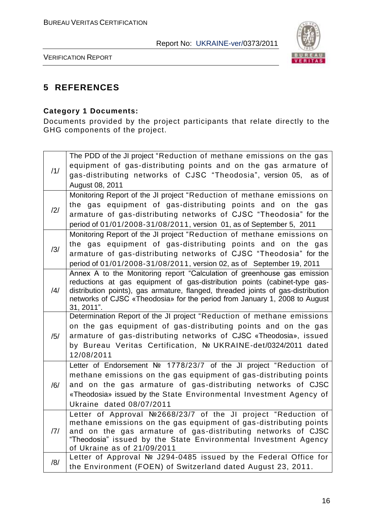

VERIFICATION REPORT

# **5 REFERENCES**

# **Category 1 Documents:**

Documents provided by the project participants that relate directly to the GHG components of the project.

|     | The PDD of the JI project "Reduction of methane emissions on the gas                                                                                          |
|-----|---------------------------------------------------------------------------------------------------------------------------------------------------------------|
| /1/ | equipment of gas-distributing points and on the gas armature of                                                                                               |
|     | gas-distributing networks of CJSC "Theodosia", version 05, as of                                                                                              |
|     | August 08, 2011                                                                                                                                               |
|     | Monitoring Report of the JI project "Reduction of methane emissions on                                                                                        |
| /2/ | the gas equipment of gas-distributing points and on the gas                                                                                                   |
|     | armature of gas-distributing networks of CJSC "Theodosia" for the                                                                                             |
|     | period of 01/01/2008-31/08/2011, version 01, as of September 5, 2011                                                                                          |
|     | Monitoring Report of the JI project "Reduction of methane emissions on                                                                                        |
| /3/ | the gas equipment of gas-distributing points and on the gas                                                                                                   |
|     | armature of gas-distributing networks of CJSC "Theodosia" for the                                                                                             |
|     | period of 01/01/2008-31/08/2011, version 02, as of September 19, 2011                                                                                         |
|     | Annex A to the Monitoring report "Calculation of greenhouse gas emission                                                                                      |
| /4/ | reductions at gas equipment of gas-distribution points (cabinet-type gas-<br>distribution points), gas armature, flanged, threaded joints of gas-distribution |
|     | networks of CJSC «Theodosia» for the period from January 1, 2008 to August                                                                                    |
|     | 31, 2011".                                                                                                                                                    |
|     | Determination Report of the JI project "Reduction of methane emissions                                                                                        |
|     | on the gas equipment of gas-distributing points and on the gas                                                                                                |
| /5/ | armature of gas-distributing networks of CJSC «Theodosia», issued                                                                                             |
|     | by Bureau Veritas Certification, Nº UKRAINE-det/0324/2011 dated                                                                                               |
|     | 12/08/2011                                                                                                                                                    |
|     | Letter of Endorsement Nº 1778/23/7 of the JI project "Reduction of                                                                                            |
|     | methane emissions on the gas equipment of gas-distributing points                                                                                             |
| /6/ | and on the gas armature of gas-distributing networks of CJSC                                                                                                  |
|     | «Theodosia» issued by the State Environmental Investment Agency of                                                                                            |
|     | Ukraine dated 08/07/2011                                                                                                                                      |
|     | Letter of Approval №2668/23/7 of the JI project "Reduction of                                                                                                 |
| /7/ | methane emissions on the gas equipment of gas-distributing points                                                                                             |
|     | and on the gas armature of gas-distributing networks of CJSC<br>"Theodosia" issued by the State Environmental Investment Agency                               |
|     | of Ukraine as of 21/09/2011                                                                                                                                   |
|     | Letter of Approval № J294-0485 issued by the Federal Office for                                                                                               |
| /8/ | the Environment (FOEN) of Switzerland dated August 23, 2011.                                                                                                  |
|     |                                                                                                                                                               |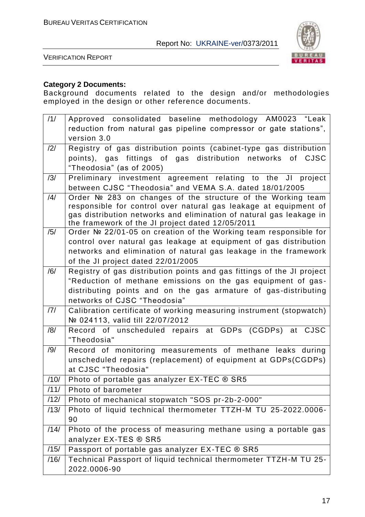



#### **Category 2 Documents:**

Background documents related to the design and/or methodologies employed in the design or other reference documents.

| version 3.0<br>/2/<br>Registry of gas distribution points (cabinet-type gas distribution<br>points), gas fittings of gas distribution networks of CJSC<br>"Theodosia" (as of 2005)<br>/3/<br>Preliminary investment agreement relating to the JI project<br>between CJSC "Theodosia" and VEMA S.A. dated 18/01/2005<br>Order № 283 on changes of the structure of the Working team<br>$\frac{1}{4}$<br>responsible for control over natural gas leakage at equipment of<br>gas distribution networks and elimination of natural gas leakage in<br>the framework of the JI project dated 12/05/2011<br>/5/<br>Order № 22/01-05 on creation of the Working team responsible for<br>control over natural gas leakage at equipment of gas distribution<br>networks and elimination of natural gas leakage in the framework<br>of the JI project dated 22/01/2005<br>Registry of gas distribution points and gas fittings of the JI project<br>/6/<br>"Reduction of methane emissions on the gas equipment of gas-<br>distributing points and on the gas armature of gas-distributing<br>networks of CJSC "Theodosia"<br>Calibration certificate of working measuring instrument (stopwatch)<br> 7 <br>Nº 024113, valid till 22/07/2012<br>Record of unscheduled repairs at GDPs (CGDPs) at CJSC<br>/8/<br>"Theodosia"<br>Record of monitoring measurements of methane leaks during<br>/9/<br>unscheduled repairs (replacement) of equipment at GDPs(CGDPs)<br>at CJSC "Theodosia"<br>Photo of portable gas analyzer EX-TEC ® SR5<br>/10/<br>Photo of barometer<br>/11/<br>/12/<br>Photo of mechanical stopwatch "SOS pr-2b-2-000"<br>Photo of liquid technical thermometer TTZH-M TU 25-2022.0006-<br>/13/<br>90<br>Photo of the process of measuring methane using a portable gas<br>/14/<br>analyzer EX-TES ® SR5<br>Passport of portable gas analyzer EX-TEC ® SR5<br>/15/<br>Technical Passport of liquid technical thermometer TTZH-M TU 25-<br>/16/<br>2022.0006-90 | /1/ | Approved consolidated baseline methodology AM0023 "Leak           |
|-----------------------------------------------------------------------------------------------------------------------------------------------------------------------------------------------------------------------------------------------------------------------------------------------------------------------------------------------------------------------------------------------------------------------------------------------------------------------------------------------------------------------------------------------------------------------------------------------------------------------------------------------------------------------------------------------------------------------------------------------------------------------------------------------------------------------------------------------------------------------------------------------------------------------------------------------------------------------------------------------------------------------------------------------------------------------------------------------------------------------------------------------------------------------------------------------------------------------------------------------------------------------------------------------------------------------------------------------------------------------------------------------------------------------------------------------------------------------------------------------------------------------------------------------------------------------------------------------------------------------------------------------------------------------------------------------------------------------------------------------------------------------------------------------------------------------------------------------------------------------------------------------------------------------------------------------------------------------|-----|-------------------------------------------------------------------|
|                                                                                                                                                                                                                                                                                                                                                                                                                                                                                                                                                                                                                                                                                                                                                                                                                                                                                                                                                                                                                                                                                                                                                                                                                                                                                                                                                                                                                                                                                                                                                                                                                                                                                                                                                                                                                                                                                                                                                                       |     | reduction from natural gas pipeline compressor or gate stations", |
|                                                                                                                                                                                                                                                                                                                                                                                                                                                                                                                                                                                                                                                                                                                                                                                                                                                                                                                                                                                                                                                                                                                                                                                                                                                                                                                                                                                                                                                                                                                                                                                                                                                                                                                                                                                                                                                                                                                                                                       |     |                                                                   |
|                                                                                                                                                                                                                                                                                                                                                                                                                                                                                                                                                                                                                                                                                                                                                                                                                                                                                                                                                                                                                                                                                                                                                                                                                                                                                                                                                                                                                                                                                                                                                                                                                                                                                                                                                                                                                                                                                                                                                                       |     |                                                                   |
|                                                                                                                                                                                                                                                                                                                                                                                                                                                                                                                                                                                                                                                                                                                                                                                                                                                                                                                                                                                                                                                                                                                                                                                                                                                                                                                                                                                                                                                                                                                                                                                                                                                                                                                                                                                                                                                                                                                                                                       |     |                                                                   |
|                                                                                                                                                                                                                                                                                                                                                                                                                                                                                                                                                                                                                                                                                                                                                                                                                                                                                                                                                                                                                                                                                                                                                                                                                                                                                                                                                                                                                                                                                                                                                                                                                                                                                                                                                                                                                                                                                                                                                                       |     |                                                                   |
|                                                                                                                                                                                                                                                                                                                                                                                                                                                                                                                                                                                                                                                                                                                                                                                                                                                                                                                                                                                                                                                                                                                                                                                                                                                                                                                                                                                                                                                                                                                                                                                                                                                                                                                                                                                                                                                                                                                                                                       |     |                                                                   |
|                                                                                                                                                                                                                                                                                                                                                                                                                                                                                                                                                                                                                                                                                                                                                                                                                                                                                                                                                                                                                                                                                                                                                                                                                                                                                                                                                                                                                                                                                                                                                                                                                                                                                                                                                                                                                                                                                                                                                                       |     |                                                                   |
|                                                                                                                                                                                                                                                                                                                                                                                                                                                                                                                                                                                                                                                                                                                                                                                                                                                                                                                                                                                                                                                                                                                                                                                                                                                                                                                                                                                                                                                                                                                                                                                                                                                                                                                                                                                                                                                                                                                                                                       |     |                                                                   |
|                                                                                                                                                                                                                                                                                                                                                                                                                                                                                                                                                                                                                                                                                                                                                                                                                                                                                                                                                                                                                                                                                                                                                                                                                                                                                                                                                                                                                                                                                                                                                                                                                                                                                                                                                                                                                                                                                                                                                                       |     |                                                                   |
|                                                                                                                                                                                                                                                                                                                                                                                                                                                                                                                                                                                                                                                                                                                                                                                                                                                                                                                                                                                                                                                                                                                                                                                                                                                                                                                                                                                                                                                                                                                                                                                                                                                                                                                                                                                                                                                                                                                                                                       |     |                                                                   |
|                                                                                                                                                                                                                                                                                                                                                                                                                                                                                                                                                                                                                                                                                                                                                                                                                                                                                                                                                                                                                                                                                                                                                                                                                                                                                                                                                                                                                                                                                                                                                                                                                                                                                                                                                                                                                                                                                                                                                                       |     |                                                                   |
|                                                                                                                                                                                                                                                                                                                                                                                                                                                                                                                                                                                                                                                                                                                                                                                                                                                                                                                                                                                                                                                                                                                                                                                                                                                                                                                                                                                                                                                                                                                                                                                                                                                                                                                                                                                                                                                                                                                                                                       |     |                                                                   |
|                                                                                                                                                                                                                                                                                                                                                                                                                                                                                                                                                                                                                                                                                                                                                                                                                                                                                                                                                                                                                                                                                                                                                                                                                                                                                                                                                                                                                                                                                                                                                                                                                                                                                                                                                                                                                                                                                                                                                                       |     |                                                                   |
|                                                                                                                                                                                                                                                                                                                                                                                                                                                                                                                                                                                                                                                                                                                                                                                                                                                                                                                                                                                                                                                                                                                                                                                                                                                                                                                                                                                                                                                                                                                                                                                                                                                                                                                                                                                                                                                                                                                                                                       |     |                                                                   |
|                                                                                                                                                                                                                                                                                                                                                                                                                                                                                                                                                                                                                                                                                                                                                                                                                                                                                                                                                                                                                                                                                                                                                                                                                                                                                                                                                                                                                                                                                                                                                                                                                                                                                                                                                                                                                                                                                                                                                                       |     |                                                                   |
|                                                                                                                                                                                                                                                                                                                                                                                                                                                                                                                                                                                                                                                                                                                                                                                                                                                                                                                                                                                                                                                                                                                                                                                                                                                                                                                                                                                                                                                                                                                                                                                                                                                                                                                                                                                                                                                                                                                                                                       |     |                                                                   |
|                                                                                                                                                                                                                                                                                                                                                                                                                                                                                                                                                                                                                                                                                                                                                                                                                                                                                                                                                                                                                                                                                                                                                                                                                                                                                                                                                                                                                                                                                                                                                                                                                                                                                                                                                                                                                                                                                                                                                                       |     |                                                                   |
|                                                                                                                                                                                                                                                                                                                                                                                                                                                                                                                                                                                                                                                                                                                                                                                                                                                                                                                                                                                                                                                                                                                                                                                                                                                                                                                                                                                                                                                                                                                                                                                                                                                                                                                                                                                                                                                                                                                                                                       |     |                                                                   |
|                                                                                                                                                                                                                                                                                                                                                                                                                                                                                                                                                                                                                                                                                                                                                                                                                                                                                                                                                                                                                                                                                                                                                                                                                                                                                                                                                                                                                                                                                                                                                                                                                                                                                                                                                                                                                                                                                                                                                                       |     |                                                                   |
|                                                                                                                                                                                                                                                                                                                                                                                                                                                                                                                                                                                                                                                                                                                                                                                                                                                                                                                                                                                                                                                                                                                                                                                                                                                                                                                                                                                                                                                                                                                                                                                                                                                                                                                                                                                                                                                                                                                                                                       |     |                                                                   |
|                                                                                                                                                                                                                                                                                                                                                                                                                                                                                                                                                                                                                                                                                                                                                                                                                                                                                                                                                                                                                                                                                                                                                                                                                                                                                                                                                                                                                                                                                                                                                                                                                                                                                                                                                                                                                                                                                                                                                                       |     |                                                                   |
|                                                                                                                                                                                                                                                                                                                                                                                                                                                                                                                                                                                                                                                                                                                                                                                                                                                                                                                                                                                                                                                                                                                                                                                                                                                                                                                                                                                                                                                                                                                                                                                                                                                                                                                                                                                                                                                                                                                                                                       |     |                                                                   |
|                                                                                                                                                                                                                                                                                                                                                                                                                                                                                                                                                                                                                                                                                                                                                                                                                                                                                                                                                                                                                                                                                                                                                                                                                                                                                                                                                                                                                                                                                                                                                                                                                                                                                                                                                                                                                                                                                                                                                                       |     |                                                                   |
|                                                                                                                                                                                                                                                                                                                                                                                                                                                                                                                                                                                                                                                                                                                                                                                                                                                                                                                                                                                                                                                                                                                                                                                                                                                                                                                                                                                                                                                                                                                                                                                                                                                                                                                                                                                                                                                                                                                                                                       |     |                                                                   |
|                                                                                                                                                                                                                                                                                                                                                                                                                                                                                                                                                                                                                                                                                                                                                                                                                                                                                                                                                                                                                                                                                                                                                                                                                                                                                                                                                                                                                                                                                                                                                                                                                                                                                                                                                                                                                                                                                                                                                                       |     |                                                                   |
|                                                                                                                                                                                                                                                                                                                                                                                                                                                                                                                                                                                                                                                                                                                                                                                                                                                                                                                                                                                                                                                                                                                                                                                                                                                                                                                                                                                                                                                                                                                                                                                                                                                                                                                                                                                                                                                                                                                                                                       |     |                                                                   |
|                                                                                                                                                                                                                                                                                                                                                                                                                                                                                                                                                                                                                                                                                                                                                                                                                                                                                                                                                                                                                                                                                                                                                                                                                                                                                                                                                                                                                                                                                                                                                                                                                                                                                                                                                                                                                                                                                                                                                                       |     |                                                                   |
|                                                                                                                                                                                                                                                                                                                                                                                                                                                                                                                                                                                                                                                                                                                                                                                                                                                                                                                                                                                                                                                                                                                                                                                                                                                                                                                                                                                                                                                                                                                                                                                                                                                                                                                                                                                                                                                                                                                                                                       |     |                                                                   |
|                                                                                                                                                                                                                                                                                                                                                                                                                                                                                                                                                                                                                                                                                                                                                                                                                                                                                                                                                                                                                                                                                                                                                                                                                                                                                                                                                                                                                                                                                                                                                                                                                                                                                                                                                                                                                                                                                                                                                                       |     |                                                                   |
|                                                                                                                                                                                                                                                                                                                                                                                                                                                                                                                                                                                                                                                                                                                                                                                                                                                                                                                                                                                                                                                                                                                                                                                                                                                                                                                                                                                                                                                                                                                                                                                                                                                                                                                                                                                                                                                                                                                                                                       |     |                                                                   |
|                                                                                                                                                                                                                                                                                                                                                                                                                                                                                                                                                                                                                                                                                                                                                                                                                                                                                                                                                                                                                                                                                                                                                                                                                                                                                                                                                                                                                                                                                                                                                                                                                                                                                                                                                                                                                                                                                                                                                                       |     |                                                                   |
|                                                                                                                                                                                                                                                                                                                                                                                                                                                                                                                                                                                                                                                                                                                                                                                                                                                                                                                                                                                                                                                                                                                                                                                                                                                                                                                                                                                                                                                                                                                                                                                                                                                                                                                                                                                                                                                                                                                                                                       |     |                                                                   |
|                                                                                                                                                                                                                                                                                                                                                                                                                                                                                                                                                                                                                                                                                                                                                                                                                                                                                                                                                                                                                                                                                                                                                                                                                                                                                                                                                                                                                                                                                                                                                                                                                                                                                                                                                                                                                                                                                                                                                                       |     |                                                                   |
|                                                                                                                                                                                                                                                                                                                                                                                                                                                                                                                                                                                                                                                                                                                                                                                                                                                                                                                                                                                                                                                                                                                                                                                                                                                                                                                                                                                                                                                                                                                                                                                                                                                                                                                                                                                                                                                                                                                                                                       |     |                                                                   |
|                                                                                                                                                                                                                                                                                                                                                                                                                                                                                                                                                                                                                                                                                                                                                                                                                                                                                                                                                                                                                                                                                                                                                                                                                                                                                                                                                                                                                                                                                                                                                                                                                                                                                                                                                                                                                                                                                                                                                                       |     |                                                                   |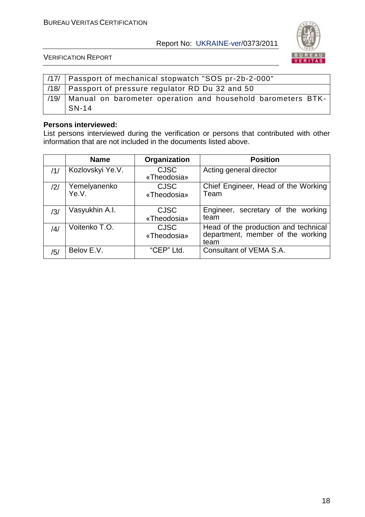

VERIFICATION REPORT

|      | /17/   Passport of mechanical stopwatch "SOS pr-2b-2-000"              |  |  |  |  |
|------|------------------------------------------------------------------------|--|--|--|--|
|      | /18/   Passport of pressure regulator RD Du 32 and 50                  |  |  |  |  |
| /19/ | Manual on barometer operation and household barometers BTK-<br>$SN-14$ |  |  |  |  |

#### **Persons interviewed:**

List persons interviewed during the verification or persons that contributed with other information that are not included in the documents listed above.

|     | <b>Name</b>           | Organization               | <b>Position</b>                                                                   |
|-----|-----------------------|----------------------------|-----------------------------------------------------------------------------------|
| /1/ | Kozlovskyi Ye.V.      | <b>CJSC</b><br>«Theodosia» | Acting general director                                                           |
| /2/ | Yemelyanenko<br>Ye.V. | <b>CJSC</b><br>«Theodosia» | Chief Engineer, Head of the Working<br>Team                                       |
| /3/ | Vasyukhin A.I.        | <b>CJSC</b><br>«Theodosia» | Engineer, secretary of the working<br>team                                        |
| /4/ | Voitenko T.O.         | <b>CJSC</b><br>«Theodosia» | Head of the production and technical<br>department, member of the working<br>team |
| /5/ | Belov E.V.            | "CEP" Ltd.                 | Consultant of VEMA S.A.                                                           |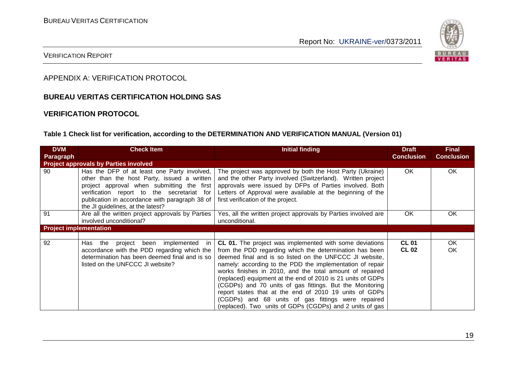

#### VERIFICATION REPORT

APPENDIX A: VERIFICATION PROTOCOL

#### **BUREAU VERITAS CERTIFICATION HOLDING SAS**

#### **VERIFICATION PROTOCOL**

#### **Table 1 Check list for verification, according to the DETERMINATION AND VERIFICATION MANUAL (Version 01)**

| <b>DVM</b>                    | <b>Check Item</b>                                                                                                                                                                                                                                                             | <b>Initial finding</b>                                                                                                                                                                                                                                                                                                                                                                                                                                                                                                                                                                                               | <b>Draft</b>                 | <b>Final</b>      |
|-------------------------------|-------------------------------------------------------------------------------------------------------------------------------------------------------------------------------------------------------------------------------------------------------------------------------|----------------------------------------------------------------------------------------------------------------------------------------------------------------------------------------------------------------------------------------------------------------------------------------------------------------------------------------------------------------------------------------------------------------------------------------------------------------------------------------------------------------------------------------------------------------------------------------------------------------------|------------------------------|-------------------|
| Paragraph                     |                                                                                                                                                                                                                                                                               |                                                                                                                                                                                                                                                                                                                                                                                                                                                                                                                                                                                                                      | <b>Conclusion</b>            | <b>Conclusion</b> |
|                               | <b>Project approvals by Parties involved</b>                                                                                                                                                                                                                                  |                                                                                                                                                                                                                                                                                                                                                                                                                                                                                                                                                                                                                      |                              |                   |
| 90                            | Has the DFP of at least one Party involved,<br>other than the host Party, issued a written<br>project approval when submitting the first<br>verification report to the secretariat for<br>publication in accordance with paragraph 38 of<br>the JI guidelines, at the latest? | The project was approved by both the Host Party (Ukraine)<br>and the other Party involved (Switzerland). Written project<br>approvals were issued by DFPs of Parties involved. Both<br>Letters of Approval were available at the beginning of the<br>first verification of the project.                                                                                                                                                                                                                                                                                                                              | <b>OK</b>                    | OK.               |
| 91                            | Are all the written project approvals by Parties<br>involved unconditional?                                                                                                                                                                                                   | Yes, all the written project approvals by Parties involved are<br>unconditional.                                                                                                                                                                                                                                                                                                                                                                                                                                                                                                                                     | OK                           | OK                |
| <b>Project implementation</b> |                                                                                                                                                                                                                                                                               |                                                                                                                                                                                                                                                                                                                                                                                                                                                                                                                                                                                                                      |                              |                   |
|                               |                                                                                                                                                                                                                                                                               |                                                                                                                                                                                                                                                                                                                                                                                                                                                                                                                                                                                                                      |                              |                   |
| 92                            | Has<br>project been implemented<br>the<br>in.<br>accordance with the PDD regarding which the<br>determination has been deemed final and is so<br>listed on the UNFCCC JI website?                                                                                             | <b>CL 01.</b> The project was implemented with some deviations<br>from the PDD regarding which the determination has been<br>deemed final and is so listed on the UNFCCC JI website,<br>namely: according to the PDD the implementation of repair<br>works finishes in 2010, and the total amount of repaired<br>(replaced) equipment at the end of 2010 is 21 units of GDPs<br>(CGDPs) and 70 units of gas fittings. But the Monitoring<br>report states that at the end of 2010 19 units of GDPs<br>(CGDPs) and 68 units of gas fittings were repaired<br>(replaced). Two units of GDPs (CGDPs) and 2 units of gas | <b>CL 01</b><br><b>CL 02</b> | OK.<br>OK.        |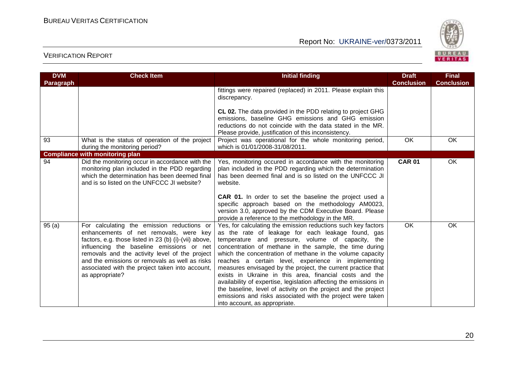

| <b>DVM</b> | <b>Check Item</b>                                                                                                                                                                                                                                                                                                                                                    | <b>Initial finding</b>                                                                                                                                                                                                                                                                                                                                                                                                                                                                                                                                                                                                                                                                                                   | <b>Draft</b>      | <b>Final</b>      |
|------------|----------------------------------------------------------------------------------------------------------------------------------------------------------------------------------------------------------------------------------------------------------------------------------------------------------------------------------------------------------------------|--------------------------------------------------------------------------------------------------------------------------------------------------------------------------------------------------------------------------------------------------------------------------------------------------------------------------------------------------------------------------------------------------------------------------------------------------------------------------------------------------------------------------------------------------------------------------------------------------------------------------------------------------------------------------------------------------------------------------|-------------------|-------------------|
| Paragraph  |                                                                                                                                                                                                                                                                                                                                                                      |                                                                                                                                                                                                                                                                                                                                                                                                                                                                                                                                                                                                                                                                                                                          | <b>Conclusion</b> | <b>Conclusion</b> |
|            |                                                                                                                                                                                                                                                                                                                                                                      | fittings were repaired (replaced) in 2011. Please explain this<br>discrepancy.                                                                                                                                                                                                                                                                                                                                                                                                                                                                                                                                                                                                                                           |                   |                   |
|            |                                                                                                                                                                                                                                                                                                                                                                      | CL 02. The data provided in the PDD relating to project GHG<br>emissions, baseline GHG emissions and GHG emission<br>reductions do not coincide with the data stated in the MR.<br>Please provide, justification of this inconsistency.                                                                                                                                                                                                                                                                                                                                                                                                                                                                                  |                   |                   |
| 93         | What is the status of operation of the project<br>during the monitoring period?                                                                                                                                                                                                                                                                                      | Project was operational for the whole monitoring period,<br>which is 01/01/2008-31/08/2011.                                                                                                                                                                                                                                                                                                                                                                                                                                                                                                                                                                                                                              | <b>OK</b>         | OK                |
|            | <b>Compliance with monitoring plan</b>                                                                                                                                                                                                                                                                                                                               |                                                                                                                                                                                                                                                                                                                                                                                                                                                                                                                                                                                                                                                                                                                          |                   |                   |
| 94         | Did the monitoring occur in accordance with the<br>monitoring plan included in the PDD regarding<br>which the determination has been deemed final<br>and is so listed on the UNFCCC JI website?                                                                                                                                                                      | Yes, monitoring occured in accordance with the monitoring<br>plan included in the PDD regarding which the determination<br>has been deemed final and is so listed on the UNFCCC JI<br>website.<br>CAR 01. In order to set the baseline the project used a<br>specific approach based on the methodology AM0023,<br>version 3.0, approved by the CDM Executive Board. Please<br>provide a reference to the methodology in the MR.                                                                                                                                                                                                                                                                                         | <b>CAR 01</b>     | OK                |
| 95(a)      | For calculating the emission reductions or<br>enhancements of net removals, were key<br>factors, e.g. those listed in 23 (b) (i)-(vii) above,<br>influencing the baseline emissions or net<br>removals and the activity level of the project<br>and the emissions or removals as well as risks<br>associated with the project taken into account,<br>as appropriate? | Yes, for calculating the emission reductions such key factors<br>as the rate of leakage for each leakage found, gas<br>temperature and pressure, volume of capacity, the<br>concentration of methane in the sample, the time during<br>which the concentration of methane in the volume capacity<br>reaches a certain level, experience in implementing<br>measures envisaged by the project, the current practice that<br>exists in Ukraine in this area, financial costs and the<br>availability of expertise, legislation affecting the emissions in<br>the baseline, level of activity on the project and the project<br>emissions and risks associated with the project were taken<br>into account, as appropriate. | OK                | OK                |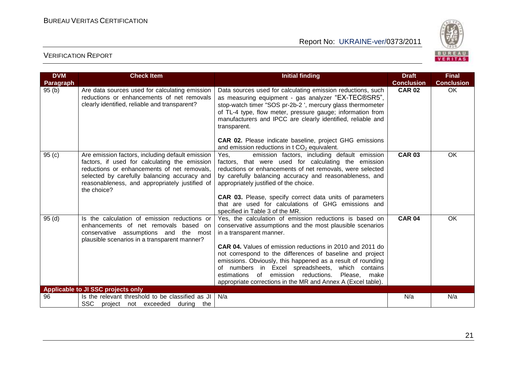

| <b>DVM</b> | <b>Check Item</b>                                                                                                                                                                                                                                                 | <b>Initial finding</b>                                                                                                                                                                                                                                                                                                                                                                                                                                                                                               | <b>Draft</b>      | <b>Final</b>      |
|------------|-------------------------------------------------------------------------------------------------------------------------------------------------------------------------------------------------------------------------------------------------------------------|----------------------------------------------------------------------------------------------------------------------------------------------------------------------------------------------------------------------------------------------------------------------------------------------------------------------------------------------------------------------------------------------------------------------------------------------------------------------------------------------------------------------|-------------------|-------------------|
| Paragraph  |                                                                                                                                                                                                                                                                   |                                                                                                                                                                                                                                                                                                                                                                                                                                                                                                                      | <b>Conclusion</b> | <b>Conclusion</b> |
| 95(b)      | Are data sources used for calculating emission<br>reductions or enhancements of net removals<br>clearly identified, reliable and transparent?                                                                                                                     | Data sources used for calculating emission reductions, such<br>as measuring equipment - gas analyzer "EX-TEC®SR5",<br>stop-watch timer "SOS pr-2b-2", mercury glass thermometer<br>of TL-4 type, flow meter, pressure gauge; information from<br>manufacturers and IPCC are clearly identified, reliable and<br>transparent.<br><b>CAR 02.</b> Please indicate baseline, project GHG emissions<br>and emission reductions in $tCO2$ equivalent.                                                                      | <b>CAR 02</b>     | OK                |
| 95(c)      | Are emission factors, including default emission<br>factors, if used for calculating the emission<br>reductions or enhancements of net removals,<br>selected by carefully balancing accuracy and<br>reasonableness, and appropriately justified of<br>the choice? | emission factors, including default emission<br>Yes.<br>factors, that were used for calculating the emission<br>reductions or enhancements of net removals, were selected<br>by carefully balancing accuracy and reasonableness, and<br>appropriately justified of the choice.<br><b>CAR 03.</b> Please, specify correct data units of parameters<br>that are used for calculations of GHG emissions and<br>specified in Table 3 of the MR.                                                                          | <b>CAR 03</b>     | <b>OK</b>         |
| 95 (d)     | Is the calculation of emission reductions or<br>enhancements of net removals based on<br>conservative assumptions and the most<br>plausible scenarios in a transparent manner?                                                                                    | Yes, the calculation of emission reductions is based on<br>conservative assumptions and the most plausible scenarios<br>in a transparent manner.<br>CAR 04. Values of emission reductions in 2010 and 2011 do<br>not correspond to the differences of baseline and project<br>emissions. Obviously, this happened as a result of rounding<br>of numbers in Excel spreadsheets, which contains<br>estimations of emission reductions.<br>Please, make<br>appropriate corrections in the MR and Annex A (Excel table). | <b>CAR 04</b>     | <b>OK</b>         |
|            | Applicable to JI SSC projects only                                                                                                                                                                                                                                |                                                                                                                                                                                                                                                                                                                                                                                                                                                                                                                      |                   |                   |
| 96         | Is the relevant threshold to be classified as JI<br><b>SSC</b><br>project not exceeded during the                                                                                                                                                                 | N/a                                                                                                                                                                                                                                                                                                                                                                                                                                                                                                                  | N/a               | N/a               |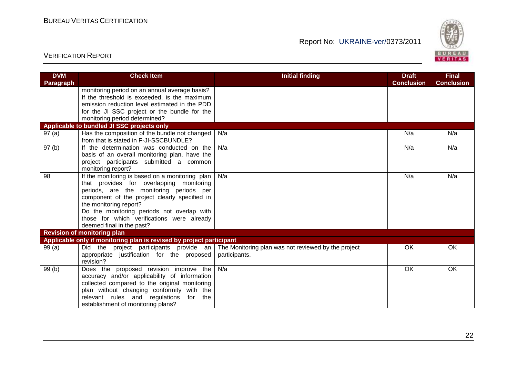

| <b>DVM</b><br>Paragraph | <b>Check Item</b>                                                                             | <b>Initial finding</b>                              | <b>Draft</b><br><b>Conclusion</b> | <b>Final</b><br><b>Conclusion</b> |
|-------------------------|-----------------------------------------------------------------------------------------------|-----------------------------------------------------|-----------------------------------|-----------------------------------|
|                         | monitoring period on an annual average basis?                                                 |                                                     |                                   |                                   |
|                         | If the threshold is exceeded, is the maximum                                                  |                                                     |                                   |                                   |
|                         | emission reduction level estimated in the PDD<br>for the JI SSC project or the bundle for the |                                                     |                                   |                                   |
|                         | monitoring period determined?                                                                 |                                                     |                                   |                                   |
|                         | Applicable to bundled JI SSC projects only                                                    |                                                     |                                   |                                   |
| 97(a)                   | Has the composition of the bundle not changed                                                 | N/a                                                 | N/a                               | N/a                               |
|                         | from that is stated in F-JI-SSCBUNDLE?                                                        |                                                     |                                   |                                   |
| 97(b)                   | If the determination was conducted on the                                                     | N/a                                                 | N/a                               | N/a                               |
|                         | basis of an overall monitoring plan, have the                                                 |                                                     |                                   |                                   |
|                         | project participants submitted a common                                                       |                                                     |                                   |                                   |
|                         | monitoring report?                                                                            |                                                     |                                   |                                   |
| 98                      | If the monitoring is based on a monitoring plan                                               | N/a                                                 | N/a                               | N/a                               |
|                         | that provides for overlapping monitoring<br>periods, are the monitoring periods per           |                                                     |                                   |                                   |
|                         | component of the project clearly specified in                                                 |                                                     |                                   |                                   |
|                         | the monitoring report?                                                                        |                                                     |                                   |                                   |
|                         | Do the monitoring periods not overlap with                                                    |                                                     |                                   |                                   |
|                         | those for which verifications were already                                                    |                                                     |                                   |                                   |
|                         | deemed final in the past?                                                                     |                                                     |                                   |                                   |
|                         | <b>Revision of monitoring plan</b>                                                            |                                                     |                                   |                                   |
|                         | Applicable only if monitoring plan is revised by project participant                          |                                                     |                                   |                                   |
| 99(a)                   | Did the project participants provide an                                                       | The Monitoring plan was not reviewed by the project | <b>OK</b>                         | OK                                |
|                         | appropriate justification for the proposed<br>revision?                                       | participants.                                       |                                   |                                   |
| 99(b)                   | Does the proposed revision improve the                                                        | N/a                                                 | <b>OK</b>                         | <b>OK</b>                         |
|                         | accuracy and/or applicability of information                                                  |                                                     |                                   |                                   |
|                         | collected compared to the original monitoring                                                 |                                                     |                                   |                                   |
|                         | plan without changing conformity with the                                                     |                                                     |                                   |                                   |
|                         | relevant rules and regulations<br>for the                                                     |                                                     |                                   |                                   |
|                         | establishment of monitoring plans?                                                            |                                                     |                                   |                                   |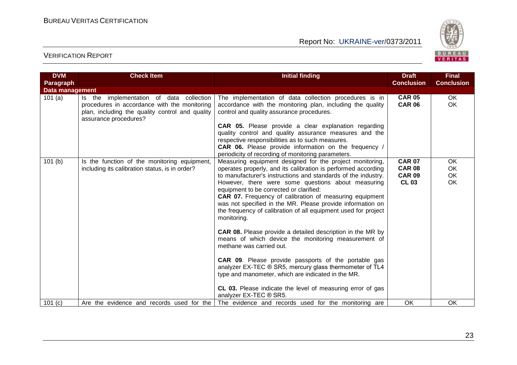

| <b>DVM</b>             | <b>Check Item</b>                                                                                                                                                       | <b>Initial finding</b>                                                                                                                                                                                                                                                                                                                                                                                                                                                                                                                                                                                                                                                                                                                                                                                                                                                                                                                       | <b>Draft</b>                                                    | <b>Final</b>                        |
|------------------------|-------------------------------------------------------------------------------------------------------------------------------------------------------------------------|----------------------------------------------------------------------------------------------------------------------------------------------------------------------------------------------------------------------------------------------------------------------------------------------------------------------------------------------------------------------------------------------------------------------------------------------------------------------------------------------------------------------------------------------------------------------------------------------------------------------------------------------------------------------------------------------------------------------------------------------------------------------------------------------------------------------------------------------------------------------------------------------------------------------------------------------|-----------------------------------------------------------------|-------------------------------------|
| Paragraph              |                                                                                                                                                                         |                                                                                                                                                                                                                                                                                                                                                                                                                                                                                                                                                                                                                                                                                                                                                                                                                                                                                                                                              | <b>Conclusion</b>                                               | <b>Conclusion</b>                   |
| <b>Data management</b> |                                                                                                                                                                         |                                                                                                                                                                                                                                                                                                                                                                                                                                                                                                                                                                                                                                                                                                                                                                                                                                                                                                                                              |                                                                 |                                     |
| 101(a)                 | implementation of data collection<br>Is the<br>procedures in accordance with the monitoring<br>plan, including the quality control and quality<br>assurance procedures? | The implementation of data collection procedures is in<br>accordance with the monitoring plan, including the quality<br>control and quality assurance procedures.                                                                                                                                                                                                                                                                                                                                                                                                                                                                                                                                                                                                                                                                                                                                                                            | <b>CAR 05</b><br><b>CAR 06</b>                                  | OK.<br><b>OK</b>                    |
|                        |                                                                                                                                                                         | CAR 05. Please provide a clear explanation regarding<br>quality control and quality assurance measures and the<br>respective responsibilities as to such measures.<br><b>CAR 06.</b> Please provide information on the frequency /<br>periodicity of recording of monitoring parameters.                                                                                                                                                                                                                                                                                                                                                                                                                                                                                                                                                                                                                                                     |                                                                 |                                     |
| 101(b)                 | Is the function of the monitoring equipment,<br>including its calibration status, is in order?                                                                          | Measuring equipment designed for the project monitoring,<br>operates properly, and its calibration is performed according<br>to manufacturer's instructions and standards of the industry.<br>However, there were some questions about measuring<br>equipment to be corrected or clarified:<br><b>CAR 07.</b> Frequency of calibration of measuring equipment<br>was not specified in the MR. Please provide information on<br>the frequency of calibration of all equipment used for project<br>monitoring.<br><b>CAR 08.</b> Please provide a detailed description in the MR by<br>means of which device the monitoring measurement of<br>methane was carried out.<br><b>CAR 09.</b> Please provide passports of the portable gas<br>analyzer EX-TEC ® SR5, mercury glass thermometer of TL4<br>type and manometer, which are indicated in the MR.<br>CL 03. Please indicate the level of measuring error of gas<br>analyzer EX-TEC ® SR5. | <b>CAR 07</b><br><b>CAR 08</b><br><b>CAR 09</b><br><b>CL 03</b> | OK.<br><b>OK</b><br><b>OK</b><br>OK |
| 101 (c)                | Are the evidence and records used for the                                                                                                                               | The evidence and records used for the monitoring are                                                                                                                                                                                                                                                                                                                                                                                                                                                                                                                                                                                                                                                                                                                                                                                                                                                                                         | OK                                                              | <b>OK</b>                           |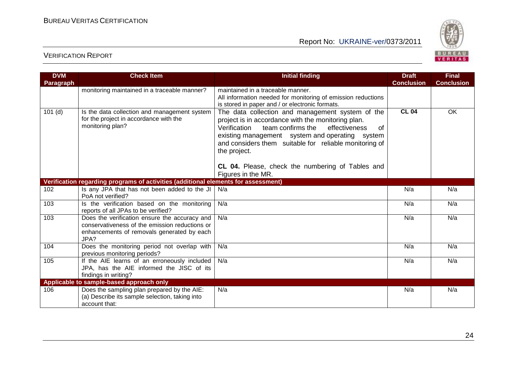

| <b>DVM</b><br>Paragraph | <b>Check Item</b>                                                                                                                                     | <b>Initial finding</b>                                                                                                                                                                                                                                                                                                                              | <b>Draft</b><br><b>Conclusion</b> | <b>Final</b><br><b>Conclusion</b> |
|-------------------------|-------------------------------------------------------------------------------------------------------------------------------------------------------|-----------------------------------------------------------------------------------------------------------------------------------------------------------------------------------------------------------------------------------------------------------------------------------------------------------------------------------------------------|-----------------------------------|-----------------------------------|
|                         | monitoring maintained in a traceable manner?                                                                                                          | maintained in a traceable manner.<br>All information needed for monitoring of emission reductions<br>is stored in paper and / or electronic formats.                                                                                                                                                                                                |                                   |                                   |
| $101$ (d)               | Is the data collection and management system<br>for the project in accordance with the<br>monitoring plan?                                            | The data collection and management system of the<br>project is in accordance with the monitoring plan.<br>effectiveness<br>Verification<br>team confirms the<br>οf<br>existing management system and operating system<br>and considers them suitable for reliable monitoring of<br>the project.<br>CL 04. Please, check the numbering of Tables and | <b>CL 04</b>                      | OK                                |
|                         |                                                                                                                                                       | Figures in the MR.                                                                                                                                                                                                                                                                                                                                  |                                   |                                   |
|                         | Verification regarding programs of activities (additional elements for assessment)                                                                    |                                                                                                                                                                                                                                                                                                                                                     |                                   |                                   |
| 102                     | Is any JPA that has not been added to the JI<br>PoA not verified?                                                                                     | N/a                                                                                                                                                                                                                                                                                                                                                 | N/a                               | N/a                               |
| 103                     | Is the verification based on the monitoring<br>reports of all JPAs to be verified?                                                                    | N/a                                                                                                                                                                                                                                                                                                                                                 | N/a                               | N/a                               |
| 103                     | Does the verification ensure the accuracy and<br>conservativeness of the emission reductions or<br>enhancements of removals generated by each<br>JPA? | N/a                                                                                                                                                                                                                                                                                                                                                 | N/a                               | N/a                               |
| 104                     | Does the monitoring period not overlap with<br>previous monitoring periods?                                                                           | N/a                                                                                                                                                                                                                                                                                                                                                 | N/a                               | N/a                               |
| 105                     | If the AIE learns of an erroneously included<br>JPA, has the AIE informed the JISC of its<br>findings in writing?                                     | N/a                                                                                                                                                                                                                                                                                                                                                 | N/a                               | N/a                               |
|                         | Applicable to sample-based approach only                                                                                                              |                                                                                                                                                                                                                                                                                                                                                     |                                   |                                   |
| 106                     | Does the sampling plan prepared by the AIE:<br>(a) Describe its sample selection, taking into<br>account that:                                        | N/a                                                                                                                                                                                                                                                                                                                                                 | N/a                               | N/a                               |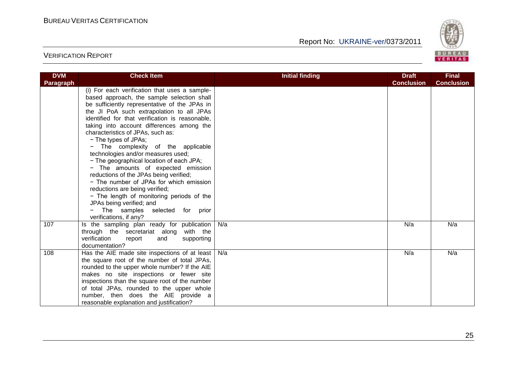

| <b>DVM</b> | <b>Check Item</b>                                                                                                                                                                                                                                                                                                                                                                                                                                                                                                                                                                                                                                                                                                                                                                | <b>Initial finding</b> | <b>Draft</b>      | <b>Final</b>      |
|------------|----------------------------------------------------------------------------------------------------------------------------------------------------------------------------------------------------------------------------------------------------------------------------------------------------------------------------------------------------------------------------------------------------------------------------------------------------------------------------------------------------------------------------------------------------------------------------------------------------------------------------------------------------------------------------------------------------------------------------------------------------------------------------------|------------------------|-------------------|-------------------|
| Paragraph  |                                                                                                                                                                                                                                                                                                                                                                                                                                                                                                                                                                                                                                                                                                                                                                                  |                        | <b>Conclusion</b> | <b>Conclusion</b> |
|            | (i) For each verification that uses a sample-<br>based approach, the sample selection shall<br>be sufficiently representative of the JPAs in<br>the JI PoA such extrapolation to all JPAs<br>identified for that verification is reasonable,<br>taking into account differences among the<br>characteristics of JPAs, such as:<br>- The types of JPAs;<br>- The complexity of the applicable<br>technologies and/or measures used;<br>- The geographical location of each JPA;<br>- The amounts of expected emission<br>reductions of the JPAs being verified;<br>- The number of JPAs for which emission<br>reductions are being verified;<br>- The length of monitoring periods of the<br>JPAs being verified; and<br>The samples selected for prior<br>verifications, if any? |                        |                   |                   |
| 107        | Is the sampling plan ready for publication<br>through the secretariat along with the<br>verification<br>supporting<br>report<br>and<br>documentation?                                                                                                                                                                                                                                                                                                                                                                                                                                                                                                                                                                                                                            | N/a                    | N/a               | N/a               |
| 108        | Has the AIE made site inspections of at least<br>the square root of the number of total JPAs,<br>rounded to the upper whole number? If the AIE<br>makes no site inspections or fewer site<br>inspections than the square root of the number<br>of total JPAs, rounded to the upper whole<br>number, then does the AIE provide a<br>reasonable explanation and justification?                                                                                                                                                                                                                                                                                                                                                                                                     | N/a                    | N/a               | N/a               |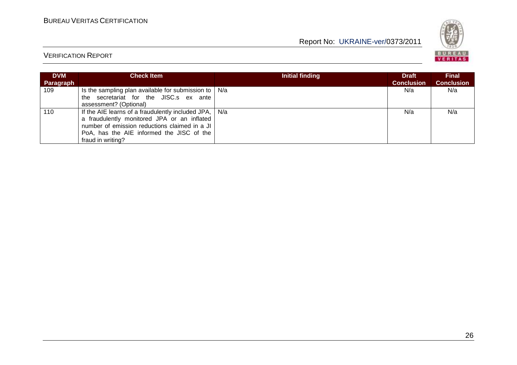

| <b>DVM</b><br><b>Paragraph</b> | <b>Check Item</b>                                                                                                                                                                                                               | Initial finding | <b>Draft</b><br><b>Conclusion</b> | <b>Final</b><br><b>Conclusion</b> |
|--------------------------------|---------------------------------------------------------------------------------------------------------------------------------------------------------------------------------------------------------------------------------|-----------------|-----------------------------------|-----------------------------------|
| 109                            | Is the sampling plan available for submission to $ N/a $<br>the secretariat for the JISC.s ex ante<br>assessment? (Optional)                                                                                                    |                 | N/a                               | N/a                               |
| 110                            | If the AIE learns of a fraudulently included JPA, $\vert$ N/a<br>a fraudulently monitored JPA or an inflated<br>number of emission reductions claimed in a JI<br>PoA, has the AIE informed the JISC of the<br>fraud in writing? |                 | N/a                               | N/a                               |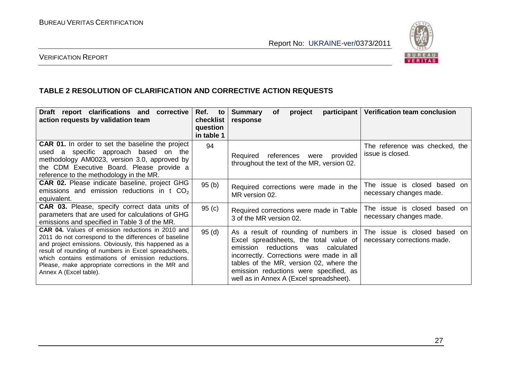

#### VERIFICATION REPORT

#### **TABLE 2 RESOLUTION OF CLARIFICATION AND CORRECTIVE ACTION REQUESTS**

| Draft report clarifications and corrective<br>action requests by validation team                                                                                                                                                                                                                                                                                 | Ref.<br>to<br>checklist<br>question<br>in table 1 | <b>Summary</b><br>participant<br><b>of</b><br>project<br>response                                                                                                                                                                                                                                        | <b>Verification team conclusion</b>                         |
|------------------------------------------------------------------------------------------------------------------------------------------------------------------------------------------------------------------------------------------------------------------------------------------------------------------------------------------------------------------|---------------------------------------------------|----------------------------------------------------------------------------------------------------------------------------------------------------------------------------------------------------------------------------------------------------------------------------------------------------------|-------------------------------------------------------------|
| <b>CAR 01.</b> In order to set the baseline the project<br>used a specific approach based on the<br>methodology AM0023, version 3.0, approved by<br>the CDM Executive Board. Please provide a<br>reference to the methodology in the MR.                                                                                                                         | 94                                                | references were provided<br>Required<br>throughout the text of the MR, version 02.                                                                                                                                                                                                                       | The reference was checked, the<br>issue is closed.          |
| <b>CAR 02.</b> Please indicate baseline, project GHG<br>emissions and emission reductions in t CO <sub>2</sub><br>equivalent.                                                                                                                                                                                                                                    | 95(b)                                             | Required corrections were made in the<br>MR version 02.                                                                                                                                                                                                                                                  | The issue is closed based on<br>necessary changes made.     |
| <b>CAR 03.</b> Please, specify correct data units of<br>parameters that are used for calculations of GHG<br>emissions and specified in Table 3 of the MR.                                                                                                                                                                                                        | 95(c)                                             | Required corrections were made in Table<br>3 of the MR version 02.                                                                                                                                                                                                                                       | The issue is closed based on<br>necessary changes made.     |
| CAR 04. Values of emission reductions in 2010 and<br>2011 do not correspond to the differences of baseline<br>and project emissions. Obviously, this happened as a<br>result of rounding of numbers in Excel spreadsheets,<br>which contains estimations of emission reductions.<br>Please, make appropriate corrections in the MR and<br>Annex A (Excel table). | 95(d)                                             | As a result of rounding of numbers in<br>Excel spreadsheets, the total value of<br>reductions<br>emission<br>was calculated<br>incorrectly. Corrections were made in all<br>tables of the MR, version 02, where the<br>emission reductions were specified, as<br>well as in Annex A (Excel spreadsheet). | The issue is closed based on<br>necessary corrections made. |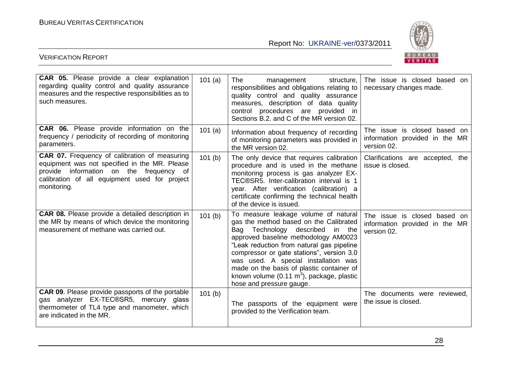

| <b>CAR 05.</b> Please provide a clear explanation<br>regarding quality control and quality assurance<br>measures and the respective responsibilities as to<br>such measures.                                     | 101(a) | The<br>management<br>structure,<br>responsibilities and obligations relating to<br>quality control and quality assurance<br>measures, description of data quality<br>control procedures are provided in<br>Sections B.2. and C of the MR version 02.                                                                                                                                                                            | The issue is closed based on<br>necessary changes made.                          |
|------------------------------------------------------------------------------------------------------------------------------------------------------------------------------------------------------------------|--------|---------------------------------------------------------------------------------------------------------------------------------------------------------------------------------------------------------------------------------------------------------------------------------------------------------------------------------------------------------------------------------------------------------------------------------|----------------------------------------------------------------------------------|
| <b>CAR 06.</b> Please provide information on the<br>frequency / periodicity of recording of monitoring<br>parameters.                                                                                            | 101(a) | Information about frequency of recording<br>of monitoring parameters was provided in<br>the MR version 02.                                                                                                                                                                                                                                                                                                                      | The issue is closed based on<br>information provided in the MR<br>version 02.    |
| <b>CAR 07.</b> Frequency of calibration of measuring<br>equipment was not specified in the MR. Please<br>provide information on the frequency of<br>calibration of all equipment used for project<br>monitoring. | 101(b) | The only device that requires calibration<br>procedure and is used in the methane<br>monitoring process is gas analyzer EX-<br>TEC®SR5. Inter-calibration interval is 1<br>year. After verification (calibration) a<br>certificate confirming the technical health<br>of the device is issued.                                                                                                                                  | Clarifications are accepted, the<br>issue is closed.                             |
| <b>CAR 08.</b> Please provide a detailed description in<br>the MR by means of which device the monitoring<br>measurement of methane was carried out.                                                             | 101(b) | To measure leakage volume of natural<br>gas the method based on the Calibrated<br>Bag Technology described<br>in the<br>approved baseline methodology AM0023<br>"Leak reduction from natural gas pipeline<br>compressor or gate stations", version 3.0<br>was used. A special installation was<br>made on the basis of plastic container of<br>known volume $(0.11 \text{ m}^3)$ , package, plastic<br>hose and pressure gauge. | The issue<br>is closed based on<br>information provided in the MR<br>version 02. |
| <b>CAR 09.</b> Please provide passports of the portable<br>gas analyzer EX-TEC®SR5, mercury glass<br>thermometer of TL4 type and manometer, which<br>are indicated in the MR.                                    | 101(b) | The passports of the equipment were<br>provided to the Verification team.                                                                                                                                                                                                                                                                                                                                                       | The documents were reviewed,<br>the issue is closed.                             |